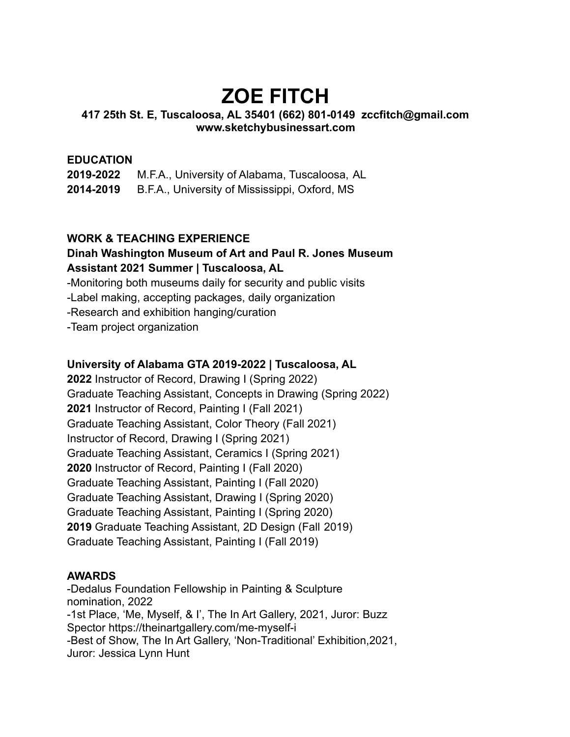# **ZOE FITCH**

#### **417 25th St. E, Tuscaloosa, AL 35401 (662) 801-0149 zccfitch@gmail.com www.sketchybusinessart.com**

### **EDUCATION**

**2019-2022** M.F.A., University of Alabama, Tuscaloosa, AL **2014-2019** B.F.A., University of Mississippi, Oxford, MS

### **WORK & TEACHING EXPERIENCE**

## **Dinah Washington Museum of Art and Paul R. Jones Museum Assistant 2021 Summer | Tuscaloosa, AL**

-Monitoring both museums daily for security and public visits

-Label making, accepting packages, daily organization

-Research and exhibition hanging/curation

-Team project organization

#### **University of Alabama GTA 2019-2022 | Tuscaloosa, AL**

**2022** Instructor of Record, Drawing I (Spring 2022) Graduate Teaching Assistant, Concepts in Drawing (Spring 2022) **2021** Instructor of Record, Painting I (Fall 2021) Graduate Teaching Assistant, Color Theory (Fall 2021) Instructor of Record, Drawing I (Spring 2021) Graduate Teaching Assistant, Ceramics I (Spring 2021) **2020** Instructor of Record, Painting I (Fall 2020) Graduate Teaching Assistant, Painting I (Fall 2020) Graduate Teaching Assistant, Drawing I (Spring 2020) Graduate Teaching Assistant, Painting I (Spring 2020) **2019** Graduate Teaching Assistant, 2D Design (Fall 2019) Graduate Teaching Assistant, Painting I (Fall 2019)

#### **AWARDS**

-Dedalus Foundation Fellowship in Painting & Sculpture nomination, 2022 -1st Place, 'Me, Myself, & I', The In Art Gallery, 2021, Juror: Buzz Spector https://theinartgallery.com/me-myself-i -Best of Show, The In Art Gallery, 'Non-Traditional' Exhibition,2021, Juror: Jessica Lynn Hunt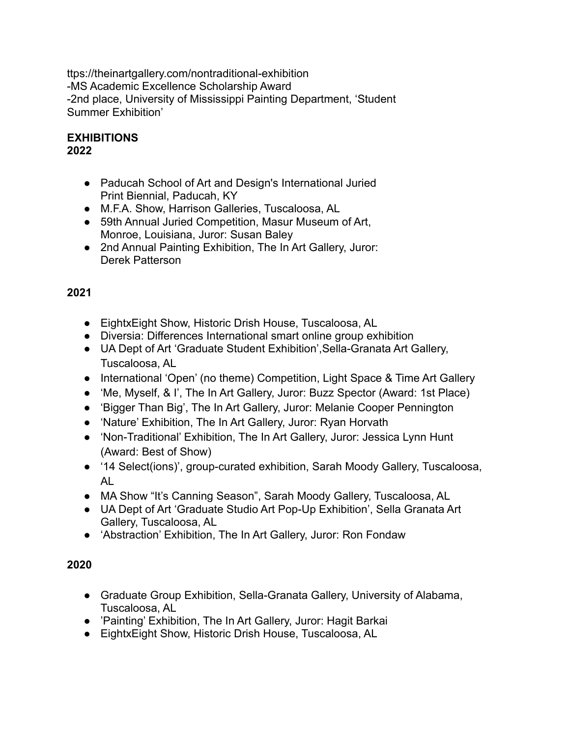ttps://theinartgallery.com/nontraditional-exhibition -MS Academic Excellence Scholarship Award -2nd place, University of Mississippi Painting Department, 'Student Summer Exhibition'

#### **EXHIBITIONS 2022**

- Paducah School of Art and Design's International Juried Print Biennial, Paducah, KY
- M.F.A. Show, Harrison Galleries, Tuscaloosa, AL
- 59th Annual Juried Competition, Masur Museum of Art, Monroe, Louisiana, Juror: Susan Baley
- 2nd Annual Painting Exhibition, The In Art Gallery, Juror: Derek Patterson

# **2021**

- EightxEight Show, Historic Drish House, Tuscaloosa, AL
- Diversia: Differences International smart online group exhibition
- UA Dept of Art 'Graduate Student Exhibition',Sella-Granata Art Gallery, Tuscaloosa, AL
- International 'Open' (no theme) Competition, Light Space & Time Art Gallery
- 'Me, Myself, & I', The In Art Gallery, Juror: Buzz Spector (Award: 1st Place)
- 'Bigger Than Big', The In Art Gallery, Juror: Melanie Cooper Pennington
- 'Nature' Exhibition, The In Art Gallery, Juror: Ryan Horvath
- 'Non-Traditional' Exhibition, The In Art Gallery, Juror: Jessica Lynn Hunt (Award: Best of Show)
- '14 Select(ions)', group-curated exhibition, Sarah Moody Gallery, Tuscaloosa, AL
- MA Show "It's Canning Season", Sarah Moody Gallery, Tuscaloosa, AL
- UA Dept of Art 'Graduate Studio Art Pop-Up Exhibition', Sella Granata Art Gallery, Tuscaloosa, AL
- 'Abstraction' Exhibition, The In Art Gallery, Juror: Ron Fondaw

# **2020**

- Graduate Group Exhibition, Sella-Granata Gallery, University of Alabama, Tuscaloosa, AL
- 'Painting' Exhibition, The In Art Gallery, Juror: Hagit Barkai
- EightxEight Show, Historic Drish House, Tuscaloosa, AL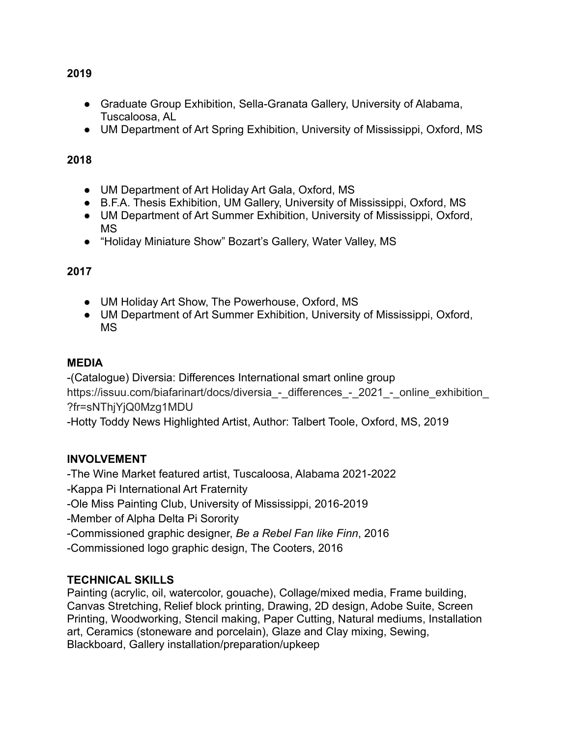● Graduate Group Exhibition, Sella-Granata Gallery, University of Alabama, Tuscaloosa, AL

• UM Department of Art Spring Exhibition, University of Mississippi, Oxford, MS

## **2018**

- UM Department of Art Holiday Art Gala, Oxford, MS
- B.F.A. Thesis Exhibition, UM Gallery, University of Mississippi, Oxford, MS
- UM Department of Art Summer Exhibition, University of Mississippi, Oxford, MS
- "Holiday Miniature Show" Bozart's Gallery, Water Valley, MS

## **2017**

- UM Holiday Art Show, The Powerhouse, Oxford, MS
- UM Department of Art Summer Exhibition, University of Mississippi, Oxford, MS

## **MEDIA**

-(Catalogue) Diversia: Differences International smart online group https://issuu.com/biafarinart/docs/diversia - differences - 2021 - online exhibition [?fr=sNThjYjQ0Mzg1MDU](https://issuu.com/biafarinart/docs/diversia_-_differences_-_2021_-_online_exhibition_?fr=sNThjYjQ0Mzg1MDU)

-Hotty Toddy News Highlighted Artist, Author: Talbert Toole, Oxford, MS, 2019

# **INVOLVEMENT**

-The Wine Market featured artist, Tuscaloosa, Alabama 2021-2022 -Kappa Pi International Art Fraternity -Ole Miss Painting Club, University of Mississippi, 2016-2019 -Member of Alpha Delta Pi Sorority

- -Commissioned graphic designer, *Be a Rebel Fan like Finn*, 2016
- -Commissioned logo graphic design, The Cooters, 2016

# **TECHNICAL SKILLS**

Painting (acrylic, oil, watercolor, gouache), Collage/mixed media, Frame building, Canvas Stretching, Relief block printing, Drawing, 2D design, Adobe Suite, Screen Printing, Woodworking, Stencil making, Paper Cutting, Natural mediums, Installation art, Ceramics (stoneware and porcelain), Glaze and Clay mixing, Sewing, Blackboard, Gallery installation/preparation/upkeep

#### **2019**